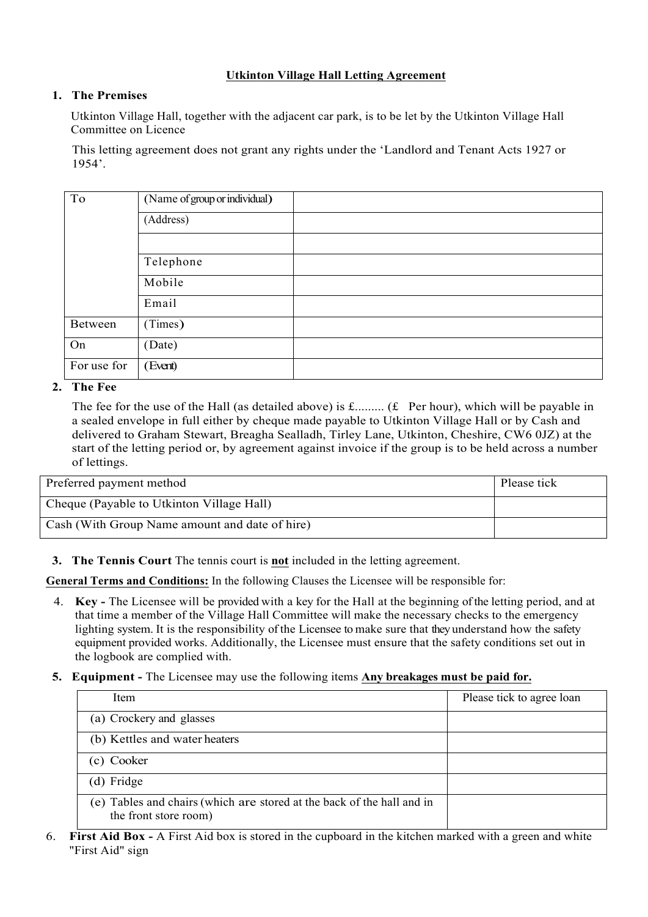## **Utkinton Village Hall Letting Agreement**

## **1. The Premises**

Utkinton Village Hall, together with the adjacent car park, is to be let by the Utkinton Village Hall Committee on Licence

This letting agreement does not grant any rights under the 'Landlord and Tenant Acts 1927 or 1954'.

| To          | (Name of group or individual) |
|-------------|-------------------------------|
|             | (Address)                     |
|             |                               |
|             | Telephone                     |
|             | Mobile                        |
|             | Email                         |
| Between     | (Times)                       |
| On          | (Date)                        |
| For use for | (Event)                       |

**2. The Fee**

The fee for the use of the Hall (as detailed above) is  $f$ ......... ( $f$  Per hour), which will be payable in a sealed envelope in full either by cheque made payable to Utkinton Village Hall or by Cash and delivered to Graham Stewart, Breagha Sealladh, Tirley Lane, Utkinton, Cheshire, CW6 0JZ) at the start of the letting period or, by agreement against invoice if the group is to be held across a number of lettings.

| Preferred payment method                       | Please tick |
|------------------------------------------------|-------------|
| Cheque (Payable to Utkinton Village Hall)      |             |
| Cash (With Group Name amount and date of hire) |             |

**3. The Tennis Court** The tennis court is **not** included in the letting agreement.

**General Terms and Conditions:** In the following Clauses the Licensee will be responsible for:

- 4. **Key -** The Licensee will be provided with a key for the Hall at the beginning of the letting period, and at that time a member of the Village Hall Committee will make the necessary checks to the emergency lighting system. It is the responsibility of the Licensee to make sure that they understand how the safety equipment provided works. Additionally, the Licensee must ensure that the safety conditions set out in the logbook are complied with.
- **5. Equipment -** The Licensee may use the following items **Any breakages must be paid for.**

| Item                                                                                            | Please tick to agree loan |
|-------------------------------------------------------------------------------------------------|---------------------------|
| (a) Crockery and glasses                                                                        |                           |
| (b) Kettles and water heaters                                                                   |                           |
| (c) Cooker                                                                                      |                           |
| (d) Fridge                                                                                      |                           |
| (e) Tables and chairs (which are stored at the back of the hall and in<br>the front store room) |                           |

6. **First Aid Box -** A First Aid box is stored in the cupboard in the kitchen marked with a green and white "First Aid" sign